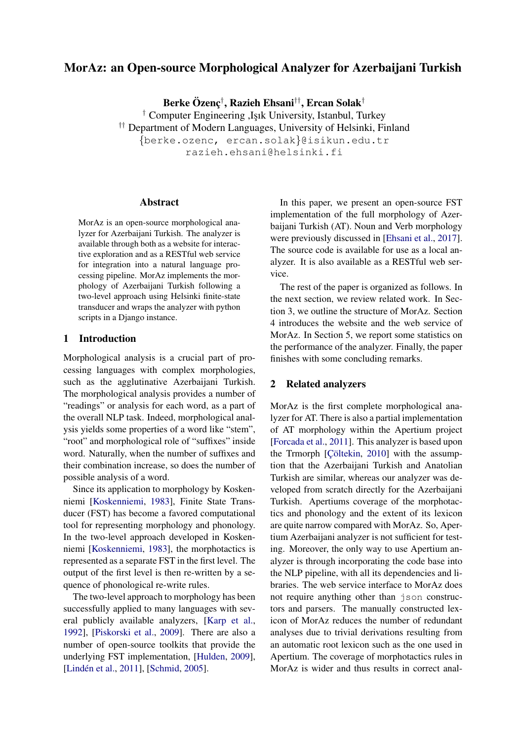# MorAz: an Open-source Morphological Analyzer for Azerbaijani Turkish

Berke Özenç $^\dagger$ , Razieh Ehsani $^{\dagger\dagger}$ , Ercan Solak $^\dagger$ 

<sup>†</sup> Computer Engineering ,Işık University, Istanbul, Turkey †† Department of Modern Languages, University of Helsinki, Finland {berke.ozenc, ercan.solak}@isikun.edu.tr

razieh.ehsani@helsinki.fi

#### Abstract

MorAz is an open-source morphological analyzer for Azerbaijani Turkish. The analyzer is available through both as a website for interactive exploration and as a RESTful web service for integration into a natural language processing pipeline. MorAz implements the morphology of Azerbaijani Turkish following a two-level approach using Helsinki finite-state transducer and wraps the analyzer with python scripts in a Django instance.

## 1 Introduction

Morphological analysis is a crucial part of processing languages with complex morphologies, such as the agglutinative Azerbaijani Turkish. The morphological analysis provides a number of "readings" or analysis for each word, as a part of the overall NLP task. Indeed, morphological analysis yields some properties of a word like "stem", "root" and morphological role of "suffixes" inside word. Naturally, when the number of suffixes and their combination increase, so does the number of possible analysis of a word.

Since its application to morphology by Koskenniemi [\[Koskenniemi,](#page-4-0) [1983\]](#page-4-0), Finite State Transducer (FST) has become a favored computational tool for representing morphology and phonology. In the two-level approach developed in Koskenniemi [\[Koskenniemi,](#page-4-0) [1983\]](#page-4-0), the morphotactics is represented as a separate FST in the first level. The output of the first level is then re-written by a sequence of phonological re-write rules.

The two-level approach to morphology has been successfully applied to many languages with several publicly available analyzers, [\[Karp et al.,](#page-4-1) [1992\]](#page-4-1), [\[Piskorski et al.,](#page-4-2) [2009\]](#page-4-2). There are also a number of open-source toolkits that provide the underlying FST implementation, [\[Hulden,](#page-4-3) [2009\]](#page-4-3), [Lindén et al., [2011\]](#page-4-4), [\[Schmid,](#page-4-5) [2005\]](#page-4-5).

In this paper, we present an open-source FST implementation of the full morphology of Azerbaijani Turkish (AT). Noun and Verb morphology were previously discussed in [\[Ehsani et al.,](#page-4-6) [2017\]](#page-4-6). The source code is available for use as a local analyzer. It is also available as a RESTful web service.

The rest of the paper is organized as follows. In the next section, we review related work. In Section 3, we outline the structure of MorAz. Section 4 introduces the website and the web service of MorAz. In Section 5, we report some statistics on the performance of the analyzer. Finally, the paper finishes with some concluding remarks.

#### 2 Related analyzers

MorAz is the first complete morphological analyzer for AT. There is also a partial implementation of AT morphology within the Apertium project [\[Forcada et al.,](#page-4-7) [2011\]](#page-4-7). This analyzer is based upon the Trmorph  $[Cöltekin, 2010]$  $[Cöltekin, 2010]$  with the assumption that the Azerbaijani Turkish and Anatolian Turkish are similar, whereas our analyzer was developed from scratch directly for the Azerbaijani Turkish. Apertiums coverage of the morphotactics and phonology and the extent of its lexicon are quite narrow compared with MorAz. So, Apertium Azerbaijani analyzer is not sufficient for testing. Moreover, the only way to use Apertium analyzer is through incorporating the code base into the NLP pipeline, with all its dependencies and libraries. The web service interface to MorAz does not require anything other than json constructors and parsers. The manually constructed lexicon of MorAz reduces the number of redundant analyses due to trivial derivations resulting from an automatic root lexicon such as the one used in Apertium. The coverage of morphotactics rules in MorAz is wider and thus results in correct anal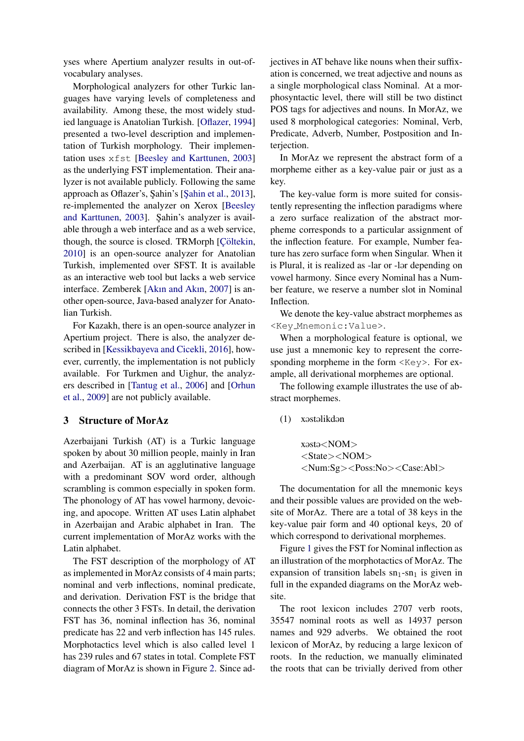yses where Apertium analyzer results in out-ofvocabulary analyses.

Morphological analyzers for other Turkic languages have varying levels of completeness and availability. Among these, the most widely studied language is Anatolian Turkish. [\[Oflazer,](#page-4-8) [1994\]](#page-4-8) presented a two-level description and implementation of Turkish morphology. Their implementation uses xfst [\[Beesley and Karttunen,](#page-3-1) [2003\]](#page-3-1) as the underlying FST implementation. Their analyzer is not available publicly. Following the same approach as Oflazer's, Şahin's [Şahin et al., [2013\]](#page-4-9), re-implemented the analyzer on Xerox [\[Beesley](#page-3-1) [and Karttunen,](#page-3-1) [2003\]](#page-3-1). Sahin's analyzer is available through a web interface and as a web service, though, the source is closed. TRMorph [Cöltekin, [2010\]](#page-3-0) is an open-source analyzer for Anatolian Turkish, implemented over SFST. It is available as an interactive web tool but lacks a web service interface. Zemberek [\[Akın and Akın,](#page-3-2) [2007\]](#page-3-2) is another open-source, Java-based analyzer for Anatolian Turkish.

For Kazakh, there is an open-source analyzer in Apertium project. There is also, the analyzer described in [\[Kessikbayeva and Cicekli,](#page-4-10) [2016\]](#page-4-10), however, currently, the implementation is not publicly available. For Turkmen and Uighur, the analyzers described in [\[Tantug et al.,](#page-4-11) [2006\]](#page-4-11) and [\[Orhun](#page-4-12) [et al.,](#page-4-12) [2009\]](#page-4-12) are not publicly available.

## 3 Structure of MorAz

Azerbaijani Turkish (AT) is a Turkic language spoken by about 30 million people, mainly in Iran and Azerbaijan. AT is an agglutinative language with a predominant SOV word order, although scrambling is common especially in spoken form. The phonology of AT has vowel harmony, devoicing, and apocope. Written AT uses Latin alphabet in Azerbaijan and Arabic alphabet in Iran. The current implementation of MorAz works with the Latin alphabet.

The FST description of the morphology of AT as implemented in MorAz consists of 4 main parts; nominal and verb inflections, nominal predicate, and derivation. Derivation FST is the bridge that connects the other 3 FSTs. In detail, the derivation FST has 36, nominal inflection has 36, nominal predicate has 22 and verb inflection has 145 rules. Morphotactics level which is also called level 1 has 239 rules and 67 states in total. Complete FST diagram of MorAz is shown in Figure [2.](#page-3-3) Since adjectives in AT behave like nouns when their suffixation is concerned, we treat adjective and nouns as a single morphological class Nominal. At a morphosyntactic level, there will still be two distinct POS tags for adjectives and nouns. In MorAz, we used 8 morphological categories: Nominal, Verb, Predicate, Adverb, Number, Postposition and Interjection.

In MorAz we represent the abstract form of a morpheme either as a key-value pair or just as a key.

The key-value form is more suited for consistently representing the inflection paradigms where a zero surface realization of the abstract morpheme corresponds to a particular assignment of the inflection feature. For example, Number feature has zero surface form when Singular. When it is Plural, it is realized as -lar or -lar depending on vowel harmony. Since every Nominal has a Number feature, we reserve a number slot in Nominal Inflection.

We denote the key-value abstract morphemes as <Key Mnemonic:Value>.

When a morphological feature is optional, we use just a mnemonic key to represent the corresponding morpheme in the form  $\langle \text{Key} \rangle$ . For example, all derivational morphemes are optional.

The following example illustrates the use of abstract morphemes.

 $(1)$  x $\alpha$ st $\alpha$ likd $\alpha$ n

xasta<NOM> <State><NOM> <Num:Sg><Poss:No><Case:Abl>

The documentation for all the mnemonic keys and their possible values are provided on the website of MorAz. There are a total of 38 keys in the key-value pair form and 40 optional keys, 20 of which correspond to derivational morphemes.

Figure [1](#page-2-0) gives the FST for Nominal inflection as an illustration of the morphotactics of MorAz. The expansion of transition labels  $sn_1$ -sn<sub>1</sub> is given in full in the expanded diagrams on the MorAz website.

The root lexicon includes 2707 verb roots, 35547 nominal roots as well as 14937 person names and 929 adverbs. We obtained the root lexicon of MorAz, by reducing a large lexicon of roots. In the reduction, we manually eliminated the roots that can be trivially derived from other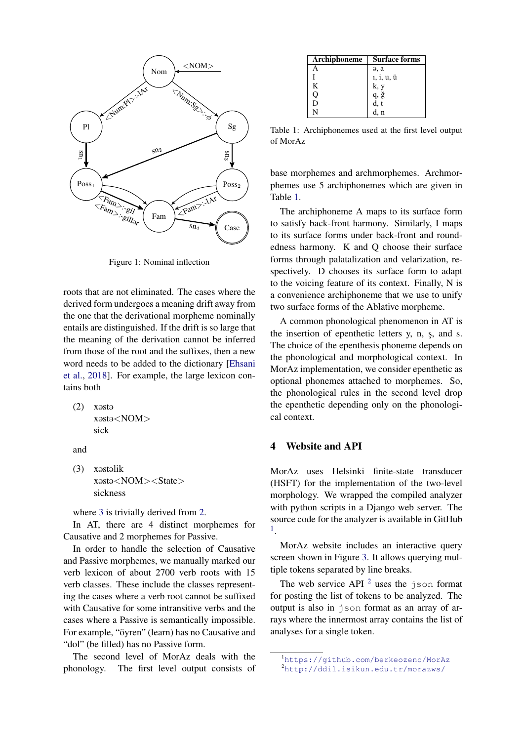

<span id="page-2-0"></span>Figure 1: Nominal inflection

roots that are not eliminated. The cases where the derived form undergoes a meaning drift away from the one that the derivational morpheme nominally entails are distinguished. If the drift is so large that the meaning of the derivation cannot be inferred from those of the root and the suffixes, then a new word needs to be added to the dictionary [\[Ehsani](#page-4-13) [et al.,](#page-4-13) [2018\]](#page-4-13). For example, the large lexicon contains both

<span id="page-2-2"></span> $(2)$  x $\Theta$ st $\Theta$ xəstə<NOM> sick

and

<span id="page-2-1"></span> $(3)$  x $\alpha$ st $\alpha$ lik xosto<NOM><State> sickness

where [3](#page-2-1) is trivially derived from [2.](#page-2-2)

In AT, there are 4 distinct morphemes for Causative and 2 morphemes for Passive.

In order to handle the selection of Causative and Passive morphemes, we manually marked our verb lexicon of about 2700 verb roots with 15 verb classes. These include the classes representing the cases where a verb root cannot be suffixed with Causative for some intransitive verbs and the cases where a Passive is semantically impossible. For example, "öyren" (learn) has no Causative and "dol" (be filled) has no Passive form.

The second level of MorAz deals with the phonology. The first level output consists of

| Archiphoneme | <b>Surface forms</b> |
|--------------|----------------------|
|              | $\Theta$ , $\alpha$  |
|              | 1, i, u, ü           |
| K            | k, y                 |
|              | q, ğ                 |
| D            | d, t                 |
|              |                      |

<span id="page-2-3"></span>Table 1: Archiphonemes used at the first level output of MorAz

base morphemes and archmorphemes. Archmorphemes use 5 archiphonemes which are given in Table [1.](#page-2-3)

The archiphoneme A maps to its surface form to satisfy back-front harmony. Similarly, I maps to its surface forms under back-front and roundedness harmony. K and Q choose their surface forms through palatalization and velarization, respectively. D chooses its surface form to adapt to the voicing feature of its context. Finally, N is a convenience archiphoneme that we use to unify two surface forms of the Ablative morpheme.

A common phonological phenomenon in AT is the insertion of epenthetic letters y, n, s, and s. The choice of the epenthesis phoneme depends on the phonological and morphological context. In MorAz implementation, we consider epenthetic as optional phonemes attached to morphemes. So, the phonological rules in the second level drop the epenthetic depending only on the phonological context.

## 4 Website and API

MorAz uses Helsinki finite-state transducer (HSFT) for the implementation of the two-level morphology. We wrapped the compiled analyzer with python scripts in a Django web server. The source code for the analyzer is available in GitHub [1](#page-2-4) .

MorAz website includes an interactive query screen shown in Figure [3.](#page-4-14) It allows querying multiple tokens separated by line breaks.

The web service API  $^2$  $^2$  uses the json format for posting the list of tokens to be analyzed. The output is also in json format as an array of arrays where the innermost array contains the list of analyses for a single token.

<span id="page-2-5"></span><span id="page-2-4"></span><sup>1</sup><https://github.com/berkeozenc/MorAz> <sup>2</sup><http://ddil.isikun.edu.tr/morazws/>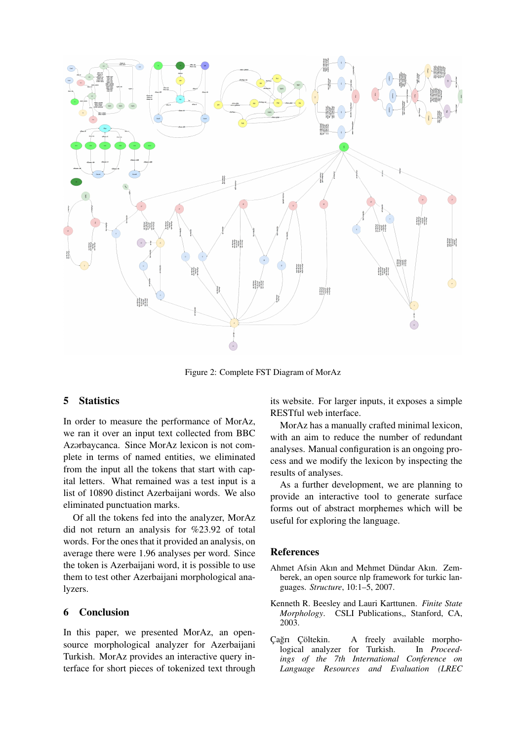

<span id="page-3-3"></span>Figure 2: Complete FST Diagram of MorAz

## 5 Statistics

In order to measure the performance of MorAz, we ran it over an input text collected from BBC Azərbaycanca. Since MorAz lexicon is not complete in terms of named entities, we eliminated from the input all the tokens that start with capital letters. What remained was a test input is a list of 10890 distinct Azerbaijani words. We also eliminated punctuation marks.

Of all the tokens fed into the analyzer, MorAz did not return an analysis for %23.92 of total words. For the ones that it provided an analysis, on average there were 1.96 analyses per word. Since the token is Azerbaijani word, it is possible to use them to test other Azerbaijani morphological analyzers.

# 6 Conclusion

In this paper, we presented MorAz, an opensource morphological analyzer for Azerbaijani Turkish. MorAz provides an interactive query interface for short pieces of tokenized text through its website. For larger inputs, it exposes a simple RESTful web interface.

MorAz has a manually crafted minimal lexicon, with an aim to reduce the number of redundant analyses. Manual configuration is an ongoing process and we modify the lexicon by inspecting the results of analyses.

As a further development, we are planning to provide an interactive tool to generate surface forms out of abstract morphemes which will be useful for exploring the language.

## References

- <span id="page-3-2"></span>Ahmet Afsin Akın and Mehmet Dündar Akın. Zemberek, an open source nlp framework for turkic languages. *Structure*, 10:1–5, 2007.
- <span id="page-3-1"></span>Kenneth R. Beesley and Lauri Karttunen. *Finite State Morphology*. CSLI Publications,, Stanford, CA, 2003.
- <span id="page-3-0"></span>Cağrı Çöltekin. A freely available morpho-<br>
logical analyzer for Turkish. In Proceedlogical analyzer for Turkish. *ings of the 7th International Conference on Language Resources and Evaluation (LREC*